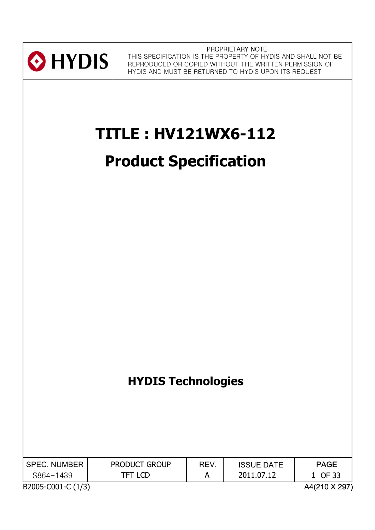

PROPRIETARY NOTE THIS SPECIFICATION IS THE PROPERTY OF HYDIS AND SHALL NOT BE REPRODUCED OR COPIED WITHOUT THE WRITTEN PERMISSION OF HYDIS AND MUST BE RETURNED TO HYDIS UPON ITS REQUEST

# **TITLE : HV121WX6-112**

# **Product Specification**

# **HYDIS Technologies**

| I SPEC. NUMBER     | <b>PRODUCT GROUP</b> | <b>REV</b> | <b>ISSUE DATE</b> | <b>PAGE</b>   |
|--------------------|----------------------|------------|-------------------|---------------|
| S864-1439          | TFT LCD              |            | 2011.07.12        | 1 OF 33       |
| B2005-C001-C (1/3) |                      |            |                   | A4(210 X 297) |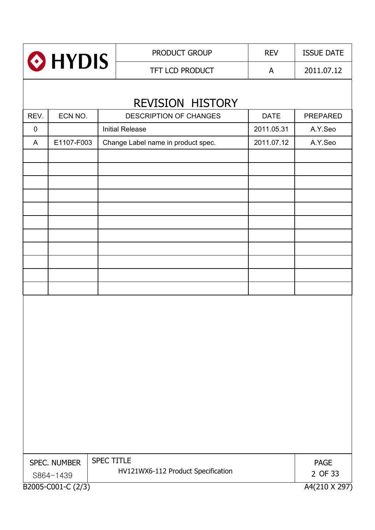|                    |              |                   | PRODUCT GROUP                                     | <b>REV</b>  | <b>ISSUE DATE</b> |  |
|--------------------|--------------|-------------------|---------------------------------------------------|-------------|-------------------|--|
| HYDIS <sup>®</sup> |              |                   | TFT LCD PRODUCT                                   | A           | 2011.07.12        |  |
|                    |              |                   |                                                   |             |                   |  |
| REV.               | ECN NO.      |                   | REVISION HISTORY<br><b>DESCRIPTION OF CHANGES</b> | <b>DATE</b> | PREPARED          |  |
| 0                  |              |                   | <b>Initial Release</b>                            | 2011.05.31  | A.Y.Seo           |  |
| A                  | E1107-F003   |                   | Change Label name in product spec.                | 2011.07.12  | A.Y.Seo           |  |
|                    |              |                   |                                                   |             |                   |  |
|                    |              |                   |                                                   |             |                   |  |
|                    |              |                   |                                                   |             |                   |  |
|                    |              |                   |                                                   |             |                   |  |
|                    |              |                   |                                                   |             |                   |  |
|                    |              |                   |                                                   |             |                   |  |
|                    |              |                   |                                                   |             |                   |  |
|                    |              |                   |                                                   |             |                   |  |
|                    |              |                   |                                                   |             |                   |  |
|                    |              |                   |                                                   |             |                   |  |
|                    |              |                   |                                                   |             |                   |  |
|                    |              |                   |                                                   |             |                   |  |
|                    |              |                   |                                                   |             |                   |  |
|                    |              |                   |                                                   |             |                   |  |
|                    |              |                   |                                                   |             |                   |  |
|                    |              |                   |                                                   |             |                   |  |
|                    |              |                   |                                                   |             |                   |  |
|                    |              |                   |                                                   |             |                   |  |
|                    |              |                   |                                                   |             |                   |  |
|                    |              |                   |                                                   |             |                   |  |
|                    |              |                   |                                                   |             |                   |  |
|                    |              |                   |                                                   |             |                   |  |
|                    | SPEC. NUMBER | <b>SPEC TITLE</b> |                                                   |             | <b>PAGE</b>       |  |
|                    | S864-1439    |                   | HV121WX6-112 Product Specification                |             | 2 OF 33           |  |
| B2005-C001-C (2/3) |              |                   | A4(210 X 297)                                     |             |                   |  |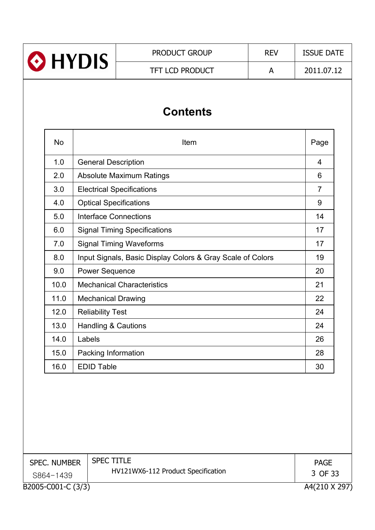| <b>O</b> HYDIS | <b>PRODUCT GROUP</b>   | <b>REV</b> | <b>ISSUE DATE</b> |
|----------------|------------------------|------------|-------------------|
|                | <b>TFT LCD PRODUCT</b> |            | 2011.07.12        |
|                |                        |            |                   |

# **Contents**

| <b>No</b> | Item                                                       | Page |
|-----------|------------------------------------------------------------|------|
| 1.0       | <b>General Description</b>                                 | 4    |
| 2.0       | <b>Absolute Maximum Ratings</b>                            | 6    |
| 3.0       | <b>Electrical Specifications</b>                           | 7    |
| 4.0       | <b>Optical Specifications</b>                              | 9    |
| 5.0       | Interface Connections                                      | 14   |
| 6.0       | <b>Signal Timing Specifications</b>                        | 17   |
| 7.0       | <b>Signal Timing Waveforms</b>                             | 17   |
| 8.0       | Input Signals, Basic Display Colors & Gray Scale of Colors | 19   |
| 9.0       | <b>Power Sequence</b>                                      | 20   |
| 10.0      | <b>Mechanical Characteristics</b>                          | 21   |
| 11.0      | <b>Mechanical Drawing</b>                                  | 22   |
| 12.0      | <b>Reliability Test</b>                                    | 24   |
| 13.0      | <b>Handling &amp; Cautions</b>                             | 24   |
| 14.0      | Labels                                                     | 26   |
| 15.0      | Packing Information                                        | 28   |
| 16.0      | <b>EDID Table</b>                                          | 30   |

| <b>SPEC. NUMBER</b> | <b>SPEC TITLE</b><br>HV121WX6-112 Product Specification | <b>PAGE</b><br>3 OF 33 |
|---------------------|---------------------------------------------------------|------------------------|
| S864-1439           |                                                         |                        |
| B2005-C001-C (3/3)  |                                                         | A4(210 X 297)          |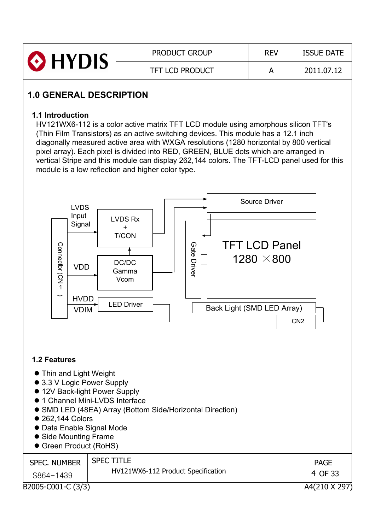| HYDIS | <b>PRODUCT GROUP</b> | <b>REV</b> | <b>ISSUE DATE</b> |
|-------|----------------------|------------|-------------------|
|       | TFT LCD PRODUCT      |            | 2011.07.12        |

# **1.0 GENERAL DESCRIPTION**

#### **1.1 Introduction**

HV121WX6-112 is a color active matrix TFT LCD module using amorphous silicon TFT's (Thin Film Transistors) as an active switching devices. This module has a 12.1 inch diagonally measured active area with WXGA resolutions (1280 horizontal by 800 vertical pixel array). Each pixel is divided into RED, GREEN, BLUE dots which are arranged in vertical Stripe and this module can display 262,144 colors. The TFT-LCD panel used for this module is a low reflection and higher color type.



#### **1.2 Features**

- Thin and Light Weight
- 3.3 V Logic Power Supply
- 12V Back-light Power Supply
- $\bullet$  1 Channel Mini-LVDS Interface
- SMD LED (48EA) Array (Bottom Side/Horizontal Direction)
- 262,144 Colors
- Data Enable Signal Mode
- Side Mounting Frame
- **Green Product (RoHS)**

| <b>SPEC. NUMBER</b> | <b>SPEC TITLE</b>                  | <b>PAGE</b>   |
|---------------------|------------------------------------|---------------|
| S864-1439           | HV121WX6-112 Product Specification | 4 OF 33       |
| B2005-C001-C (3/3)  |                                    | A4(210 X 297) |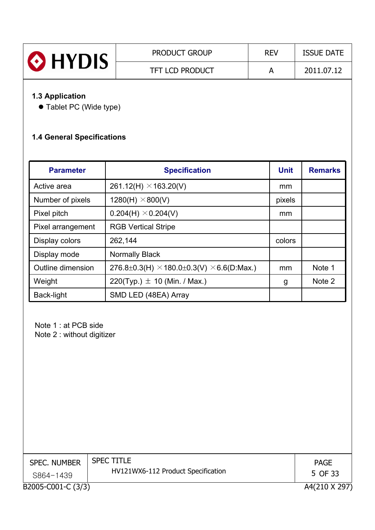| HYDIS | <b>PRODUCT GROUP</b>   | <b>REV</b> | <b>ISSUE DATE</b> |
|-------|------------------------|------------|-------------------|
|       | <b>TFT LCD PRODUCT</b> |            | 2011.07.12        |

# **1.3 Application**

• Tablet PC (Wide type)

# **1.4 General Specifications**

| <b>Parameter</b>  | <b>Specification</b>                                    |        | <b>Remarks</b> |
|-------------------|---------------------------------------------------------|--------|----------------|
| Active area       | 261.12(H) $\times$ 163.20(V)                            | mm     |                |
| Number of pixels  | 1280(H) $\times$ 800(V)                                 | pixels |                |
| Pixel pitch       | $0.204(H) \times 0.204(V)$                              | mm     |                |
| Pixel arrangement | <b>RGB Vertical Stripe</b>                              |        |                |
| Display colors    | 262,144                                                 | colors |                |
| Display mode      | Normally Black                                          |        |                |
| Outline dimension | 276.8±0.3(H) $\times$ 180.0±0.3(V) $\times$ 6.6(D:Max.) | mm     | Note 1         |
| Weight            | 220(Typ.) $\pm$ 10 (Min. / Max.)                        | g      | Note 2         |
| Back-light        | SMD LED (48EA) Array                                    |        |                |

Note 1 : at PCB side Note 2 : without digitizer

| <b>SPEC. NUMBER</b> | <b>SPEC TITLE</b>                  | <b>PAGE</b>   |
|---------------------|------------------------------------|---------------|
| S864-1439           | HV121WX6-112 Product Specification | 5 OF 33       |
| B2005-C001-C (3/3)  |                                    | A4(210 X 297) |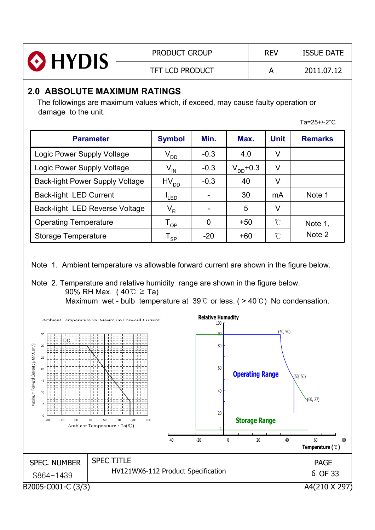| O HYDIS | <b>PRODUCT GROUP</b>   | <b>REV</b> | <b>ISSUE DATE</b> |
|---------|------------------------|------------|-------------------|
|         | <b>TFT LCD PRODUCT</b> |            | 2011.07.12        |

## **2.0 ABSOLUTE MAXIMUM RATINGS**

The followings are maximum values which, if exceed, may cause faulty operation or damage to the unit.

 $Ta=25+/-2°C$ 

| <b>Parameter</b>                       | <b>Symbol</b>                               | Min.   | Max.          | <b>Unit</b> | <b>Remarks</b> |
|----------------------------------------|---------------------------------------------|--------|---------------|-------------|----------------|
| Logic Power Supply Voltage             | $V_{DD}$                                    | $-0.3$ | 4.0           | V           |                |
| Logic Power Supply Voltage             | $V_{\text{IN}}$                             | $-0.3$ | $V_{DD}$ +0.3 | V           |                |
| <b>Back-light Power Supply Voltage</b> | $HV_{DD}$                                   | $-0.3$ | 40            | v           |                |
| Back-light LED Current                 | <sup>I</sup> LED                            |        | 30            | mA          | Note 1         |
| Back-light LED Reverse Voltage         | $V_R$                                       | -      | 5             | V           |                |
| <b>Operating Temperature</b>           | <b>OP</b>                                   | 0      | $+50$         | U           | Note 1,        |
| Storage Temperature                    | $\mathsf{T}_{\mathsf{SP}}^{\phantom{\dag}}$ | $-20$  | $+60$         | U           | Note 2         |

Note 1. Ambient temperature vs allowable forward current are shown in the figure below.

# Note 2. Temperature and relative humidity range are shown in the figure below. 90% RH Max. ( $40^{\circ}$ C  $\geq$  Ta)

Maximum wet - bulb temperature at 39  $\degree$  or less. ( > 40  $\degree$  ) No condensation.

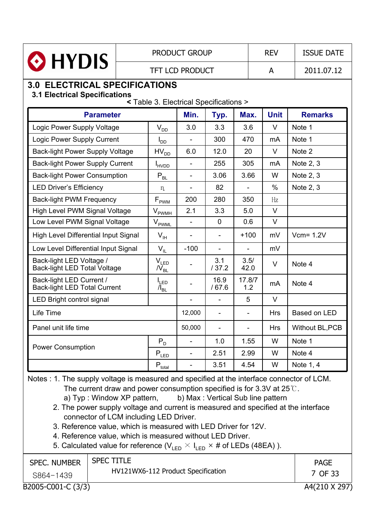|                                                                              | <b>PRODUCT GROUP</b>   |                                             |                          |                          |               | <b>REV</b>    | <b>ISSUE DATE</b> |
|------------------------------------------------------------------------------|------------------------|---------------------------------------------|--------------------------|--------------------------|---------------|---------------|-------------------|
| HYDIS                                                                        | <b>TFT LCD PRODUCT</b> |                                             |                          |                          |               | A             | 2011.07.12        |
| <b>3.0 ELECTRICAL SPECIFICATIONS</b><br><b>3.1 Electrical Specifications</b> |                        | < Table 3. Electrical Specifications >      |                          |                          |               |               |                   |
| <b>Parameter</b>                                                             |                        |                                             | Min.                     | Typ.                     | Max.          | <b>Unit</b>   | <b>Remarks</b>    |
| Logic Power Supply Voltage                                                   |                        | $\mathsf{V}_{\mathsf{DD}}$                  | 3.0                      | 3.3                      | 3.6           | $\vee$        | Note 1            |
| Logic Power Supply Current                                                   |                        | $I_{DD}$                                    |                          | 300                      | 470           | mA            | Note 1            |
| <b>Back-light Power Supply Voltage</b>                                       |                        | $HV_{DD}$                                   | 6.0                      | 12.0                     | 20            | $\vee$        | Note 2            |
| <b>Back-light Power Supply Current</b>                                       |                        | <b>I</b> <sub>HVDD</sub>                    | $\blacksquare$           | 255                      | 305           | mA            | Note 2, 3         |
| <b>Back-light Power Consumption</b>                                          |                        | $P_{BL}$                                    |                          | 3.06                     | 3.66          | W             | Note 2, 3         |
| <b>LED Driver's Efficiency</b>                                               |                        | n.                                          |                          | 82                       |               | $\frac{0}{0}$ | Note 2, 3         |
| <b>Back-light PWM Frequency</b>                                              |                        | $\mathsf{F}_{\mathsf{PWM}}$                 | 200                      | 280                      | 350           | Hz            |                   |
| High Level PWM Signal Voltage                                                |                        | $\mathsf{V}_{\mathsf{PWMH}}$                | 2.1                      | 3.3                      | 5.0           | $\vee$        |                   |
| Low Level PWM Signal Voltage                                                 |                        | $V_{\rm PWML}$                              |                          | $\mathbf 0$              | 0.6           | $\vee$        |                   |
| <b>High Level Differential Input Signal</b>                                  |                        | $V_{\rm IH}$                                |                          |                          | $+100$        | mV            | $Vcm = 1.2V$      |
| Low Level Differential Input Signal                                          |                        | $V_{IL}$                                    | $-100$                   | $\overline{\phantom{0}}$ |               | mV            |                   |
| Back-light LED Voltage /<br><b>Back-light LED Total Voltage</b>              |                        | $\mathsf{V}_{\mathsf{LED}}$<br>$N_{\rm BL}$ |                          | 3.1<br>/37.2             | 3.5/<br>42.0  | $\vee$        | Note 4            |
| Back-light LED Current /<br><b>Back-light LED Total Current</b>              |                        | $I_{LED}$<br>$\mu_{\texttt{BL}}$            |                          | 16.9<br>/67.6            | 17.8/7<br>1.2 | mA            | Note 4            |
| LED Bright control signal                                                    |                        |                                             | $\overline{\phantom{a}}$ | $\overline{\phantom{0}}$ | 5             | $\vee$        |                   |
| Life Time                                                                    |                        |                                             | 12,000                   |                          | ÷             | <b>Hrs</b>    | Based on LED      |
| Panel unit life time                                                         |                        |                                             | 50,000                   |                          |               | <b>Hrs</b>    | Without BL, PCB   |
|                                                                              |                        | $P_{D}$                                     | $\overline{\phantom{0}}$ | 1.0                      | 1.55          | W             | Note 1            |
| <b>Power Consumption</b>                                                     |                        | $\mathsf{P}_{\text{LED}}$                   | $\overline{\phantom{0}}$ | 2.51                     | 2.99          | W             | Note 4            |
|                                                                              |                        | $\mathsf{P}_{\underline{\text{total}}}$     | ۰                        | 3.51                     | 4.54          | W             | Note 1, 4         |

Notes : 1. The supply voltage is measured and specified at the interface connector of LCM. The current draw and power consumption specified is for 3.3V at  $25^{\circ}$ .

a) Typ : Window XP pattern, b) Max : Vertical Sub line pattern

2. The power supply voltage and current is measured and specified at the interface connector of LCM including LED Driver.

- 3. Reference value, which is measured with LED Driver for 12V.
- 4. Reference value, which is measured without LED Driver.
- 5. Calculated value for reference ( $V_{LED} \times I_{LED} \times #$  of LEDs (48EA)).

| <b>SPEC. NUMBER</b> | <b>SPEC TITLE</b>                  | <b>PAGE</b>   |
|---------------------|------------------------------------|---------------|
| S864-1439           | HV121WX6-112 Product Specification | 7 OF 33       |
| B2005-C001-C (3/3)  |                                    | A4(210 X 297) |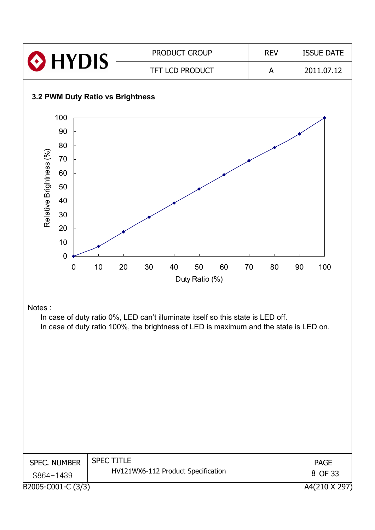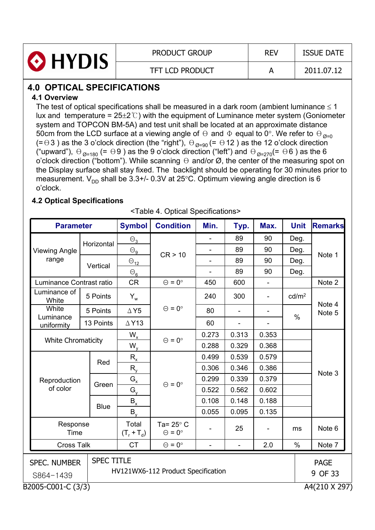| HYDIS | <b>PRODUCT GROUP</b>   | <b>REV</b> | <b>ISSUE DATE</b> |
|-------|------------------------|------------|-------------------|
|       | <b>TFT LCD PRODUCT</b> |            | 2011.07.12        |

# **4.0 OPTICAL SPECIFICATIONS**

#### **4.1 Overview**

The test of optical specifications shall be measured in a dark room (ambient luminance  $\leq 1$ lux and temperature =  $25\pm2\degree$ ) with the equipment of Luminance meter system (Goniometer system and TOPCON BM-5A) and test unit shall be located at an approximate distance 50cm from the LCD surface at a viewing angle of  $\Theta$  and  $\Phi$  equal to 0°. We refer to  $\Theta_{\Theta=0}$ (= $\Theta$ 3) as the 3 o'clock direction (the "right"),  $\Theta_{\emptyset=90}$  (=  $\Theta$ 12) as the 12 o'clock direction ("upward"),  $\Theta_{\emptyset=180}$  (=  $\Theta$ 9) as the 9 o'clock direction ("left") and  $\Theta_{\emptyset=270}$ (=  $\Theta$ 6) as the 6 o'clock direction ("bottom"). While scanning  $\Theta$  and/or  $\emptyset$ , the center of the measuring spot on the Display surface shall stay fixed. The backlight should be operating for 30 minutes prior to measurement.  $V_{DD}$  shall be 3.3+/- 0.3V at 25°C. Optimum viewing angle direction is 6 o'clock.

#### **4.2 Optical Specifications**

| <table 4.="" optical="" specifications=""></table> |
|----------------------------------------------------|
|----------------------------------------------------|

| <b>Parameter</b>                                                                                                      |                           | <b>Symbol</b>                | <b>Condition</b>                         | Min.           | Typ.                     | Max.                         | <b>Unit</b>       | <b>Remarks</b> |
|-----------------------------------------------------------------------------------------------------------------------|---------------------------|------------------------------|------------------------------------------|----------------|--------------------------|------------------------------|-------------------|----------------|
|                                                                                                                       |                           | $\Theta_3$                   |                                          |                | 89                       | 90                           | Deg.              |                |
| <b>Viewing Angle</b><br>range                                                                                         | Horizontal                | $\Theta_{\underline{\bf g}}$ |                                          |                | 89                       | 90                           | Deg.              |                |
|                                                                                                                       |                           | $\Theta_{\underline{12}}$    | CR > 10                                  |                | 89                       | 90                           | Deg.              | Note 1         |
|                                                                                                                       | Vertical                  | $\Theta_6$                   |                                          |                | 89                       | 90                           | Deg.              |                |
| Luminance Contrast ratio                                                                                              |                           | <b>CR</b>                    | $\Theta = 0^{\circ}$                     | 450            | 600                      | ÷,                           |                   | Note 2         |
| Luminance of<br>White                                                                                                 | 5 Points                  | $Y_w$                        |                                          | 240            | 300                      | $\overline{\phantom{a}}$     | cd/m <sup>2</sup> | Note 4         |
| White                                                                                                                 | 5 Points                  | $\Delta$ Y5                  | $\Theta = 0^{\circ}$                     | 80             | $\overline{\phantom{a}}$ | $\qquad \qquad \blacksquare$ |                   | Note 5         |
| Luminance<br>uniformity                                                                                               | 13 Points                 | $\triangle$ Y13              |                                          | 60             |                          |                              | $\%$              |                |
|                                                                                                                       |                           | $W_{x}$                      |                                          | 0.273          | 0.313                    | 0.353                        |                   |                |
|                                                                                                                       | <b>White Chromaticity</b> |                              | $\Theta = 0^{\circ}$<br>$W_{y}$          |                | 0.329                    | 0.368                        |                   |                |
|                                                                                                                       |                           | $R_{x}$                      |                                          | 0.499          | 0.539                    | 0.579                        |                   |                |
|                                                                                                                       | Red                       | $R_{v}$                      |                                          | 0.306          | 0.346                    | 0.386                        |                   | Note 3         |
| Reproduction                                                                                                          | Green                     | $G_{x}$                      | $\Theta = 0^{\circ}$                     | 0.299          | 0.339                    | 0.379                        |                   |                |
| of color                                                                                                              |                           | $G_{v}$                      |                                          | 0.522          | 0.562                    | 0.602                        |                   |                |
|                                                                                                                       | <b>Blue</b>               | $B_{x}$                      |                                          | 0.108          | 0.148                    | 0.188                        |                   |                |
|                                                                                                                       |                           | $B_{v}$                      |                                          | 0.055          | 0.095                    | 0.135                        |                   |                |
| Response<br>Time                                                                                                      |                           | Total<br>$(T_r + T_d)$       | Ta= $25^\circ$ C<br>$\Theta = 0^{\circ}$ |                | 25                       |                              | ms                | Note 6         |
| <b>Cross Talk</b>                                                                                                     |                           | <b>CT</b>                    | $\Theta = 0^{\circ}$                     | $\blacksquare$ | $\overline{\phantom{a}}$ | 2.0                          | $\%$              | Note 7         |
| <b>SPEC TITLE</b><br><b>SPEC. NUMBER</b><br><b>PAGE</b><br>HV121WX6-112 Product Specification<br>9 OF 33<br>S864-1439 |                           |                              |                                          |                |                          |                              |                   |                |
| B2005-C001-C (3/3)                                                                                                    |                           |                              |                                          |                |                          |                              |                   | A4(210 X 297)  |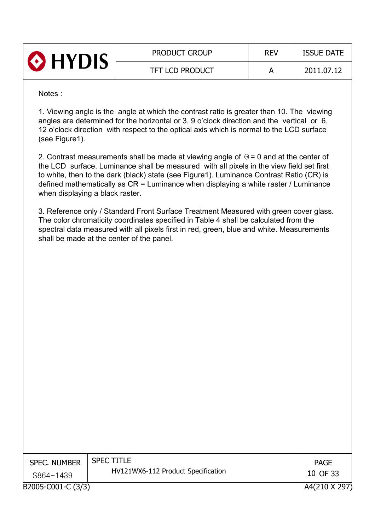| HYDIS | <b>PRODUCT GROUP</b>   | <b>REV</b> | <b>ISSUE DATE</b> |
|-------|------------------------|------------|-------------------|
|       | <b>TFT LCD PRODUCT</b> |            | 2011.07.12        |

Notes :

1. Viewing angle is the angle at which the contrast ratio is greater than 10. The viewing angles are determined for the horizontal or 3, 9 o'clock direction and the vertical or 6, 12 o'clock direction with respect to the optical axis which is normal to the LCD surface (see Figure1).

2. Contrast measurements shall be made at viewing angle of  $\Theta$  = 0 and at the center of the LCD surface. Luminance shall be measured with all pixels in the view field set first to white, then to the dark (black) state (see Figure1). Luminance Contrast Ratio (CR) is defined mathematically as CR = Luminance when displaying a white raster / Luminance when displaying a black raster.

3. Reference only / Standard Front Surface Treatment Measured with green cover glass. The color chromaticity coordinates specified in Table 4 shall be calculated from the spectral data measured with all pixels first in red, green, blue and white. Measurements shall be made at the center of the panel.

| <b>SPEC. NUMBER</b> | <b>SPEC TITLE</b>                  | <b>PAGE</b>   |
|---------------------|------------------------------------|---------------|
| S864-1439           | HV121WX6-112 Product Specification | 10 OF 33      |
| B2005-C001-C (3/3)  |                                    | A4(210 X 297) |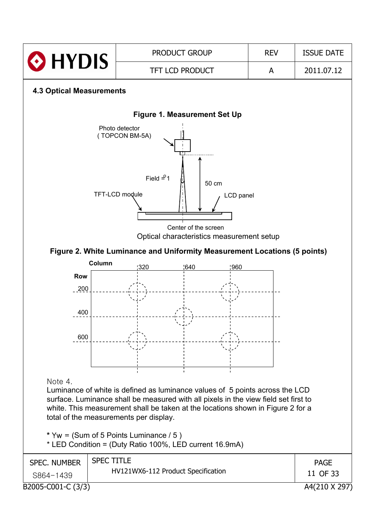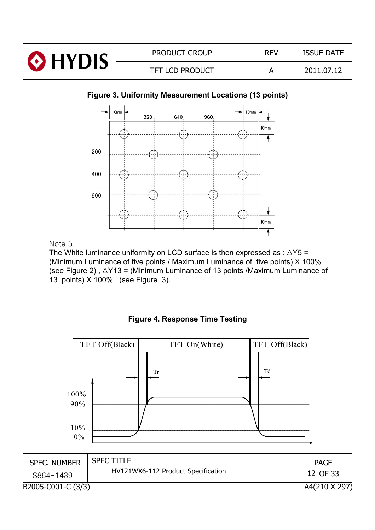

B2005-C001-C (3/3) A4(210 X 297) SPEC. NUMBER | SPEC TITLE HV121WX6-112 Product Specification z\_][TX[Z` 12 OF 33 PAGE 0%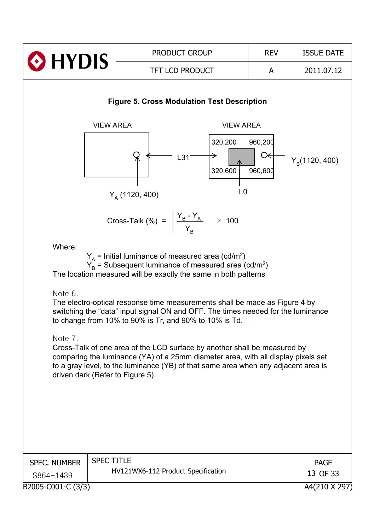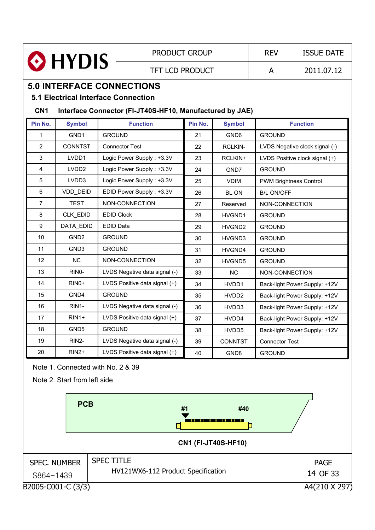|                                                                   |                                                          | <b>PRODUCT GROUP</b>               |         | <b>REV</b>        | <b>ISSUE DATE</b>             |                                |  |
|-------------------------------------------------------------------|----------------------------------------------------------|------------------------------------|---------|-------------------|-------------------------------|--------------------------------|--|
|                                                                   | <b>O</b> HYDIS                                           | <b>TFT LCD PRODUCT</b>             |         |                   | A                             | 2011.07.12                     |  |
|                                                                   |                                                          | <b>5.0 INTERFACE CONNECTIONS</b>   |         |                   |                               |                                |  |
| <b>5.1 Electrical Interface Connection</b>                        |                                                          |                                    |         |                   |                               |                                |  |
| CN <sub>1</sub>                                                   | Interface Connector (FI-JT40S-HF10, Manufactured by JAE) |                                    |         |                   |                               |                                |  |
| Pin No.                                                           | <b>Symbol</b>                                            | <b>Function</b>                    | Pin No. | <b>Symbol</b>     |                               | <b>Function</b>                |  |
| 1                                                                 | GND1                                                     | <b>GROUND</b>                      | 21      | GND <sub>6</sub>  | <b>GROUND</b>                 |                                |  |
| $\overline{2}$                                                    | <b>CONNTST</b>                                           | <b>Connector Test</b>              | 22      | <b>RCLKIN-</b>    |                               | LVDS Negative clock signal (-) |  |
| 3                                                                 | LVDD1                                                    | Logic Power Supply: +3.3V          | 23      | RCLKIN+           |                               | LVDS Positive clock signal (+) |  |
| 4                                                                 | LVDD <sub>2</sub>                                        | Logic Power Supply: +3.3V          | 24      | GND7              | <b>GROUND</b>                 |                                |  |
| 5                                                                 | LVDD3                                                    | Logic Power Supply: +3.3V          | 25      | <b>VDIM</b>       | <b>PWM Brightness Control</b> |                                |  |
| 6                                                                 | VDD_DEID                                                 | EDID Power Supply: +3.3V           | 26      | <b>BLON</b>       | <b>B/L ON/OFF</b>             |                                |  |
| $\overline{7}$                                                    | <b>TEST</b>                                              | NON-CONNECTION                     | 27      | Reserved          | NON-CONNECTION                |                                |  |
| 8                                                                 | CLK_EDID                                                 | <b>EDID Clock</b>                  | 28      | HVGND1            | <b>GROUND</b>                 |                                |  |
| 9                                                                 | DATA EDID                                                | <b>EDID Data</b>                   | 29      | HVGND2            | <b>GROUND</b>                 |                                |  |
| 10                                                                | GND <sub>2</sub>                                         | <b>GROUND</b>                      | 30      | HVGND3            | <b>GROUND</b>                 |                                |  |
| 11                                                                | GND3                                                     | <b>GROUND</b>                      | 31      | HVGND4            | <b>GROUND</b>                 |                                |  |
| 12                                                                | <b>NC</b>                                                | NON-CONNECTION                     | 32      | HVGND5            | <b>GROUND</b>                 |                                |  |
| 13                                                                | RINO-                                                    | LVDS Negative data signal (-)      | 33      | <b>NC</b>         | NON-CONNECTION                |                                |  |
| 14                                                                | RIN <sub>0</sub> +                                       | LVDS Positive data signal (+)      | 34      | HVDD1             |                               | Back-light Power Supply: +12V  |  |
| 15                                                                | GND4                                                     | <b>GROUND</b>                      | 35      | HVDD <sub>2</sub> |                               | Back-light Power Supply: +12V  |  |
| 16                                                                | RIN1-                                                    | LVDS Negative data signal (-)      | 36      | HVDD3             |                               | Back-light Power Supply: +12V  |  |
| 17                                                                | $RIN1+$                                                  | LVDS Positive data signal (+)      | 37      | HVDD4             |                               | Back-light Power Supply: +12V  |  |
| 18                                                                | GND <sub>5</sub>                                         | <b>GROUND</b>                      | 38      | HVDD5             |                               | Back-light Power Supply: +12V  |  |
| 19                                                                | RIN2-                                                    | LVDS Negative data signal (-)      | 39      | <b>CONNTST</b>    | <b>Connector Test</b>         |                                |  |
| 20                                                                | $RIN2+$                                                  | LVDS Positive data signal (+)      | 40      | GND <sub>8</sub>  | <b>GROUND</b>                 |                                |  |
| Note 1. Connected with No. 2 & 39<br>Note 2. Start from left side |                                                          |                                    |         |                   |                               |                                |  |
|                                                                   | <b>PCB</b>                                               |                                    |         |                   |                               |                                |  |
|                                                                   |                                                          |                                    | #1      | #40               |                               |                                |  |
|                                                                   |                                                          |                                    |         |                   |                               |                                |  |
| <b>CN1 (FI-JT40S-HF10)</b>                                        |                                                          |                                    |         |                   |                               |                                |  |
|                                                                   | <b>SPEC. NUMBER</b>                                      | <b>SPEC TITLE</b>                  |         |                   |                               | <b>PAGE</b>                    |  |
|                                                                   |                                                          | HV121WX6-112 Product Specification |         |                   |                               | 14 OF 33                       |  |
| S864-1439                                                         |                                                          |                                    |         |                   |                               |                                |  |
| B2005-C001-C (3/3)<br>A4(210 X 297)                               |                                                          |                                    |         |                   |                               |                                |  |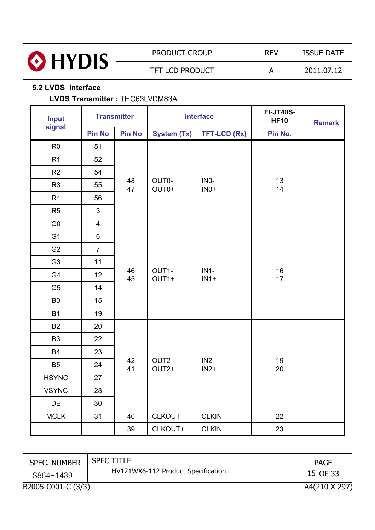

#### **5.2 LVDS Interface**

#### **LVDS Transmitter : THC63LVDM83A**

| <b>Input</b>                        |                   | <b>Transmitter</b> |                                    | <b>Interface</b>            | <b>FI-JT40S-</b><br><b>HF10</b> | <b>Remark</b> |
|-------------------------------------|-------------------|--------------------|------------------------------------|-----------------------------|---------------------------------|---------------|
| signal                              | <b>Pin No</b>     | <b>Pin No</b>      | <b>System (Tx)</b>                 | <b>TFT-LCD (Rx)</b>         | Pin No.                         |               |
| R <sub>0</sub>                      | 51                |                    |                                    |                             |                                 |               |
| R1                                  | 52                |                    |                                    |                             |                                 |               |
| R2                                  | 54                |                    |                                    |                             |                                 |               |
| R <sub>3</sub>                      | 55                | 48<br>47           | OUT0-<br>OUT0+                     | IN <sub>0</sub> -<br>$INO+$ | 13<br>14                        |               |
| R <sub>4</sub>                      | 56                |                    |                                    |                             |                                 |               |
| R <sub>5</sub>                      | $\mathfrak{S}$    |                    |                                    |                             |                                 |               |
| G <sub>0</sub>                      | $\overline{4}$    |                    |                                    |                             |                                 |               |
| G <sub>1</sub>                      | 6                 |                    |                                    |                             |                                 |               |
| G <sub>2</sub>                      | $\overline{7}$    |                    |                                    |                             |                                 |               |
| G <sub>3</sub>                      | 11                |                    |                                    |                             |                                 |               |
| G4                                  | 12                | 46<br>45           | OUT1-<br>OUT1+                     | $IN1-$<br>$IN1+$            | 16<br>17                        |               |
| G <sub>5</sub>                      | 14                |                    |                                    |                             |                                 |               |
| B <sub>0</sub>                      | 15                |                    |                                    |                             |                                 |               |
| <b>B1</b>                           | 19                |                    |                                    |                             |                                 |               |
| <b>B2</b>                           | 20                |                    |                                    |                             |                                 |               |
| B <sub>3</sub>                      | 22                |                    |                                    |                             |                                 |               |
| <b>B4</b>                           | 23                |                    |                                    |                             |                                 |               |
| B <sub>5</sub>                      | 24                | 42<br>41           | OUT2-<br>OUT2+                     | $IN2-$<br>$IN2+$            | 19<br>20                        |               |
| <b>HSYNC</b>                        | 27                |                    |                                    |                             |                                 |               |
| <b>VSYNC</b>                        | 28                |                    |                                    |                             |                                 |               |
| DE                                  | 30                |                    |                                    |                             |                                 |               |
| <b>MCLK</b>                         | 31                | 40                 | CLKOUT-                            | CLKIN-                      | 22                              |               |
|                                     |                   | 39                 | CLKOUT+                            | CLKIN+                      | 23                              |               |
|                                     |                   |                    |                                    |                             |                                 |               |
| SPEC. NUMBER                        | <b>SPEC TITLE</b> |                    |                                    |                             |                                 | <b>PAGE</b>   |
| S864-1439                           |                   |                    | HV121WX6-112 Product Specification |                             |                                 | 15 OF 33      |
| B2005-C001-C (3/3)<br>A4(210 X 297) |                   |                    |                                    |                             |                                 |               |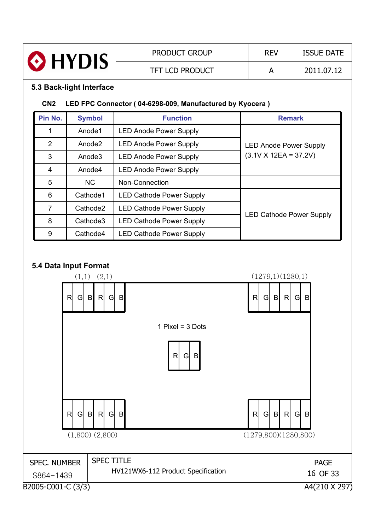

#### **5.3 Back-light Interface**

#### **CN2 LED FPC Connector ( 04-6298-009, Manufactured by Kyocera )**

| Pin No. | <b>Symbol</b>        | <b>Function</b>                 | <b>Remark</b>                   |
|---------|----------------------|---------------------------------|---------------------------------|
|         | Anode1               | <b>LED Anode Power Supply</b>   |                                 |
| 2       | Anode <sub>2</sub>   | <b>LED Anode Power Supply</b>   | <b>LED Anode Power Supply</b>   |
| 3       | Anode3               | <b>LED Anode Power Supply</b>   | $(3.1V \times 12EA = 37.2V)$    |
| 4       | Anode4               | <b>LED Anode Power Supply</b>   |                                 |
| 5       | <b>NC</b>            | Non-Connection                  |                                 |
| 6       | Cathode1             | <b>LED Cathode Power Supply</b> |                                 |
| 7       | Cathode <sub>2</sub> | <b>LED Cathode Power Supply</b> |                                 |
| 8       | Cathode3             | LED Cathode Power Supply        | <b>LED Cathode Power Supply</b> |
| 9       | Cathode4             | <b>LED Cathode Power Supply</b> |                                 |

#### **5.4 Data Input Format**

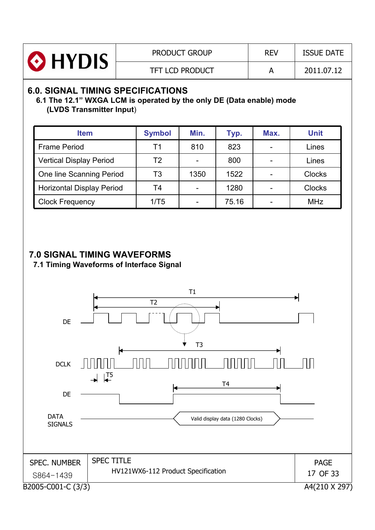| HYDIS | <b>PRODUCT GROUP</b>   | <b>REV</b> | <b>ISSUE DATE</b> |
|-------|------------------------|------------|-------------------|
|       | <b>TFT LCD PRODUCT</b> |            | 2011.07.12        |

## **6.0. SIGNAL TIMING SPECIFICATIONS**

#### **6.1 The 12.1" WXGA LCM is operated by the only DE (Data enable) mode (LVDS Transmitter Input**)

| <b>Item</b>                      | <b>Symbol</b> | Min. | Typ.  | Max. | <b>Unit</b>   |
|----------------------------------|---------------|------|-------|------|---------------|
| <b>Frame Period</b>              | Τ1            | 810  | 823   |      | Lines         |
| <b>Vertical Display Period</b>   | Τ2            |      | 800   |      | Lines         |
| One line Scanning Period         | T3            | 1350 | 1522  |      | <b>Clocks</b> |
| <b>Horizontal Display Period</b> | T4            |      | 1280  |      | <b>Clocks</b> |
| <b>Clock Frequency</b>           | 1/T5          |      | 75.16 |      | <b>MHz</b>    |

### **7.0 SIGNAL TIMING WAVEFORMS**

**7.1 Timing Waveforms of Interface Signal**

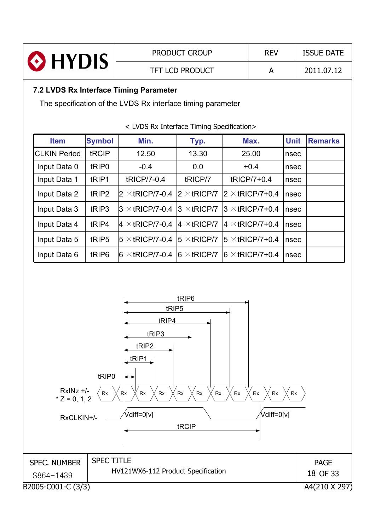| HYDIS               |                                        |                                                             | <b>PRODUCT GROUP</b>   | <b>REV</b> |                         | <b>ISSUE DATE</b> |                |  |  |
|---------------------|----------------------------------------|-------------------------------------------------------------|------------------------|------------|-------------------------|-------------------|----------------|--|--|
|                     |                                        |                                                             | <b>TFT LCD PRODUCT</b> | A          |                         | 2011.07.12        |                |  |  |
|                     | 7.2 LVDS Rx Interface Timing Parameter |                                                             |                        |            |                         |                   |                |  |  |
|                     |                                        | The specification of the LVDS Rx interface timing parameter |                        |            |                         |                   |                |  |  |
|                     |                                        | < LVDS Rx Interface Timing Specification>                   |                        |            |                         |                   |                |  |  |
| <b>Item</b>         | <b>Symbol</b>                          | Min.                                                        | Typ.                   |            | Max.                    | <b>Unit</b>       | <b>Remarks</b> |  |  |
| <b>CLKIN Period</b> | tRCIP                                  | 12.50                                                       | 13.30                  |            | 25.00                   | nsec              |                |  |  |
| Input Data 0        | tRIP <sub>0</sub>                      | $-0.4$                                                      | 0.0                    |            | $+0.4$                  | nsec              |                |  |  |
| Input Data 1        | tRIP1                                  | tRICP/7-0.4                                                 | tRICP/7                |            | tRICP/7+0.4             | nsec              |                |  |  |
| Input Data 2        | tRIP <sub>2</sub>                      | $2 \times$ tRICP/7-0.4                                      | $2 \times$ tRICP/7     |            | $2 \times$ tRICP/7+0.4  | nsec              |                |  |  |
| Input Data 3        | tRIP3                                  | $3 \times$ tRICP/7-0.4                                      | $3 \times$ tRICP/7     |            | $3 \times$ tRICP/7+0.4  | nsec              |                |  |  |
| Input Data 4        | tRIP4                                  | $4 \times$ tricp/7-0.4                                      | $4 \times$ tricp/7     |            | $ 4 \times$ tRICP/7+0.4 | nsec              |                |  |  |
| Input Data 5        | tRIP <sub>5</sub>                      | $5 \times$ tricp/7-0.4                                      | $5 \times$ tricp/7     |            | $5 \times$ tRICP/7+0.4  | nsec              |                |  |  |
| Input Data 6        | tRIP <sub>6</sub>                      | $6 \times$ tRICP/7-0.4                                      | $6 \times$ tricp/7     |            | $6 \times$ tRICP/7+0.4  | nsec              |                |  |  |



B2005-C001-C (3/3) A4(210 X 297)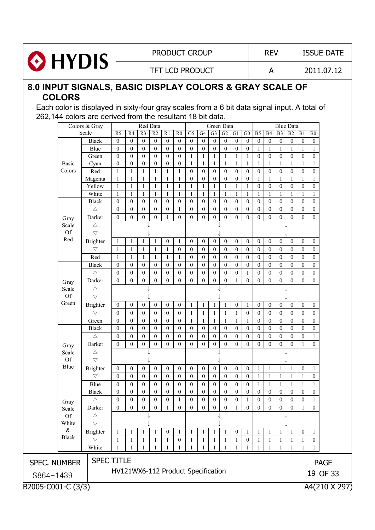

TFT LCD PRODUCT A 2011.07.12

## **8.0 INPUT SIGNALS, BASIC DISPLAY COLORS & GRAY SCALE OF COLORS**

Each color is displayed in sixty-four gray scales from a 6 bit data signal input. A total of 262,144 colors are derived from the resultant 18 bit data.

|                                    |                                     | Colors & Gray      |                |                  | Red Data         |                  |                        |                  |                  |                  | Green Data        |                  |                  |                  |                  |                  | <b>Blue Data</b> |                  |                  |                  |             |
|------------------------------------|-------------------------------------|--------------------|----------------|------------------|------------------|------------------|------------------------|------------------|------------------|------------------|-------------------|------------------|------------------|------------------|------------------|------------------|------------------|------------------|------------------|------------------|-------------|
|                                    |                                     | Scale              | R <sub>5</sub> | R4               | $\overline{R}3$  | R2               | R1                     | R <sub>0</sub>   | G <sub>5</sub>   | G4               | G <sub>3</sub>    | G2               | G1               | ${\rm G0}$       | B <sub>5</sub>   | <b>B4</b>        | B <sub>3</sub>   | B2               | B1               | ${\bf B0}$       |             |
|                                    |                                     | <b>Black</b>       | $\overline{0}$ | $\mathbf{0}$     | $\overline{0}$   | $\boldsymbol{0}$ | $\mathbf{0}$           | $\mathbf{0}$     | $\boldsymbol{0}$ | $\theta$         | $\overline{0}$    | $\mathbf{0}$     | $\overline{0}$   | $\theta$         | $\mathbf{0}$     | $\mathbf{0}$     | $\overline{0}$   | $\boldsymbol{0}$ | $\boldsymbol{0}$ | $\mathbf{0}$     |             |
|                                    |                                     | Blue               | $\overline{0}$ | $\mathbf{0}$     | $\theta$         | $\boldsymbol{0}$ | $\overline{0}$         | $\mathbf{0}$     | $\overline{0}$   | $\mathbf{0}$     | $\Omega$          | $\boldsymbol{0}$ | $\boldsymbol{0}$ | $\mathbf{0}$     | 1                | $\mathbf{1}$     | $\mathbf{1}$     | $\mathbf{1}$     | 1                | $\mathbf{1}$     |             |
|                                    |                                     | Green              | $\overline{0}$ | $\overline{0}$   | $\Omega$         | $\boldsymbol{0}$ | $\overline{0}$         | $\mathbf{0}$     | $\mathbf{1}$     | $\mathbf{1}$     | $\mathbf{1}$      | $\mathbf{1}$     | $\mathbf{1}$     | $\mathbf{1}$     | $\mathbf{0}$     | $\mathbf{0}$     | $\boldsymbol{0}$ | $\boldsymbol{0}$ | $\overline{0}$   | $\overline{0}$   |             |
|                                    | <b>Basic</b>                        | Cyan               | $\mathbf{0}$   | $\mathbf{0}$     | $\Omega$         | $\boldsymbol{0}$ | $\mathbf{0}$           | $\mathbf{0}$     | $\mathbf{1}$     | $\mathbf{1}$     | 1                 | $\mathbf{1}$     | $\mathbf{1}$     | $\mathbf{1}$     | 1                | $\mathbf{1}$     | $\mathbf{1}$     | $\mathbf{1}$     | $\mathbf{1}$     |                  |             |
|                                    | Colors                              | Red                | $\mathbf{1}$   | $\mathbf{1}$     | $\mathbf{1}$     | 1                | $\mathbf{1}$           | $\mathbf{1}$     | $\overline{0}$   | $\theta$         | $\theta$          | $\theta$         | $\mathbf{0}$     | $\boldsymbol{0}$ | $\mathbf{0}$     | $\mathbf{0}$     | $\boldsymbol{0}$ | $\boldsymbol{0}$ | $\mathbf{0}$     | $\mathbf{0}$     |             |
|                                    |                                     | Magenta            | $\mathbf{1}$   | $\mathbf{1}$     | $\mathbf{1}$     | 1                | $\mathbf{1}$           | $\mathbf{1}$     | $\overline{0}$   | $\boldsymbol{0}$ | $\overline{0}$    | $\theta$         | $\boldsymbol{0}$ | $\mathbf{0}$     | 1                | $\mathbf{1}$     | $\mathbf{1}$     | $\mathbf{1}$     | 1                | $\mathbf{1}$     |             |
|                                    |                                     | Yellow             | $\mathbf{1}$   | $\mathbf{1}$     | $\mathbf{1}$     | $\mathbf{1}$     | $\mathbf{1}$           | $\mathbf{1}$     | $\mathbf{1}$     | $\mathbf{1}$     | 1                 | $\mathbf{1}$     | $\mathbf{1}$     | $\overline{1}$   | $\mathbf{0}$     | $\mathbf{0}$     | $\boldsymbol{0}$ | $\boldsymbol{0}$ | $\mathbf{0}$     | $\mathbf{0}$     |             |
|                                    |                                     | White              | $\mathbf{1}$   | $\mathbf{1}$     | $\mathbf{1}$     | $\mathbf{1}$     | $\mathbf{1}$           | $\mathbf{1}$     | $\mathbf{1}$     | $\mathbf{1}$     | $\mathbf{1}$      | $\mathbf{1}$     | $\mathbf{1}$     | $\mathbf{1}$     | $\mathbf{1}$     | $\mathbf{1}$     | $\mathbf{1}$     | $\mathbf{1}$     | $\mathbf{1}$     | $\mathbf{1}$     |             |
|                                    |                                     | <b>Black</b>       | $\overline{0}$ | $\overline{0}$   | $\overline{0}$   | $\mathbf{0}$     | $\overline{0}$         | $\boldsymbol{0}$ | $\boldsymbol{0}$ | $\mathbf{0}$     | $\overline{0}$    | $\theta$         | $\boldsymbol{0}$ | $\mathbf{0}$     | $\mathbf{0}$     | $\mathbf{0}$     | $\overline{0}$   | $\boldsymbol{0}$ | $\overline{0}$   | $\overline{0}$   |             |
|                                    |                                     | $\triangle$        | $\mathbf{0}$   | $\mathbf{0}$     | $\mathbf{0}$     | $\mathbf{0}$     | $\mathbf{0}$           | $\mathbf{1}$     | $\boldsymbol{0}$ | $\mathbf{0}$     | $\overline{0}$    | $\mathbf{0}$     | $\boldsymbol{0}$ | $\mathbf{0}$     | $\mathbf{0}$     | $\mathbf{0}$     | $\boldsymbol{0}$ | $\boldsymbol{0}$ | $\mathbf{0}$     | $\mathbf{0}$     |             |
|                                    | Gray                                | Darker             | $\theta$       | $\theta$         | $\overline{0}$   | $\boldsymbol{0}$ | 1                      | $\theta$         | $\overline{0}$   | $\theta$         | $\theta$          | $\mathbf{0}$     | $\overline{0}$   | $\mathbf{0}$     | $\theta$         | $\theta$         | $\theta$         | $\boldsymbol{0}$ | $\theta$         | $\mathbf{0}$     |             |
|                                    | Scale                               | $\triangle$        |                |                  |                  |                  |                        |                  |                  |                  |                   |                  |                  |                  |                  |                  |                  |                  |                  |                  |             |
|                                    | <b>Of</b>                           | $\bigtriangledown$ |                |                  |                  |                  |                        |                  |                  |                  |                   |                  |                  |                  |                  |                  |                  |                  |                  |                  |             |
|                                    | Red                                 | <b>Brighter</b>    |                |                  |                  |                  |                        |                  |                  | $\mathbf{0}$     |                   | $\mathbf{0}$     | $\boldsymbol{0}$ | $\boldsymbol{0}$ | $\boldsymbol{0}$ | $\mathbf{0}$     |                  | $\mathbf{0}$     | $\boldsymbol{0}$ | $\boldsymbol{0}$ |             |
|                                    |                                     | $\bigtriangledown$ | -1             | $\mathbf{1}$     | 1                | 1                | $\boldsymbol{0}$       | $\mathbf{1}$     | $\overline{0}$   |                  | $\boldsymbol{0}$  |                  |                  |                  |                  |                  | $\boldsymbol{0}$ |                  |                  |                  |             |
|                                    |                                     |                    | 1              | 1                | 1                | 1                | 1                      | $\mathbf{0}$     | $\overline{0}$   | $\theta$         | $\theta$          | $\theta$         | $\mathbf{0}$     | $\theta$         | $\theta$         | $\theta$         | $\mathbf{0}$     | $\theta$         | $\overline{0}$   | $\theta$         |             |
|                                    |                                     | Red                | $\mathbf{1}$   | $\mathbf{1}$     | $\mathbf{1}$     | $\mathbf{1}$     | $\mathbf{1}$           | $\mathbf{1}$     | $\overline{0}$   | $\mathbf{0}$     | $\overline{0}$    | $\theta$         | $\boldsymbol{0}$ | $\mathbf{0}$     | $\mathbf{0}$     | $\mathbf{0}$     | $\boldsymbol{0}$ | $\mathbf{0}$     | $\overline{0}$   | $\overline{0}$   |             |
|                                    |                                     | <b>Black</b>       | $\overline{0}$ | $\overline{0}$   | $\mathbf{0}$     | $\mathbf{0}$     | $\overline{0}$         | $\overline{0}$   | $\overline{0}$   | $\mathbf{0}$     | $\overline{0}$    | $\theta$         | $\mathbf{0}$     | $\boldsymbol{0}$ | $\boldsymbol{0}$ | $\mathbf{0}$     | $\overline{0}$   | $\mathbf{0}$     | $\overline{0}$   | $\overline{0}$   |             |
|                                    |                                     | $\triangle$        | $\overline{0}$ | $\overline{0}$   | $\overline{0}$   | $\overline{0}$   | $\overline{0}$         | $\mathbf{0}$     | $\overline{0}$   | $\theta$         | $\overline{0}$    | $\overline{0}$   | $\boldsymbol{0}$ | -1               | $\mathbf{0}$     | $\mathbf{0}$     | $\boldsymbol{0}$ | $\boldsymbol{0}$ | $\overline{0}$   | $\overline{0}$   |             |
|                                    | Gray                                | Darker             | $\mathbf{0}$   | $\theta$         | $\overline{0}$   | $\boldsymbol{0}$ | $\mathbf{0}$           | $\theta$         | $\overline{0}$   | $\theta$         | $\overline{0}$    | $\theta$         | $\mathbf{1}$     | $\mathbf{0}$     | $\boldsymbol{0}$ | $\theta$         | $\overline{0}$   | $\boldsymbol{0}$ | $\theta$         | $\boldsymbol{0}$ |             |
|                                    | Scale                               | $\triangle$        |                |                  |                  |                  |                        |                  |                  |                  |                   |                  |                  |                  |                  |                  |                  |                  |                  |                  |             |
|                                    | <b>Of</b>                           | $\bigtriangledown$ |                |                  |                  |                  |                        |                  |                  |                  |                   |                  |                  |                  |                  |                  |                  |                  |                  |                  |             |
|                                    | Green                               | <b>Brighter</b>    | $\overline{0}$ | $\boldsymbol{0}$ | $\boldsymbol{0}$ | $\boldsymbol{0}$ | $\boldsymbol{0}$       | $\boldsymbol{0}$ | 1                | 1                | 1                 | 1                | $\boldsymbol{0}$ | 1                | $\boldsymbol{0}$ | $\boldsymbol{0}$ | $\boldsymbol{0}$ | $\boldsymbol{0}$ | $\boldsymbol{0}$ | $\boldsymbol{0}$ |             |
|                                    |                                     | $\bigtriangledown$ | $\mathbf{0}$   | $\boldsymbol{0}$ | $\boldsymbol{0}$ | $\boldsymbol{0}$ | $\boldsymbol{0}$       | $\mathbf{0}$     | $\mathbf{1}$     | $\mathbf{1}$     | $\mathbf{1}$      | $\mathbf{1}$     | $\mathbf{1}$     | $\boldsymbol{0}$ | $\theta$         | $\mathbf{0}$     | $\boldsymbol{0}$ | $\boldsymbol{0}$ | $\boldsymbol{0}$ | $\mathbf{0}$     |             |
|                                    |                                     | Green              | $\mathbf{0}$   | $\overline{0}$   | $\mathbf{0}$     | $\mathbf{0}$     | $\boldsymbol{0}$       | $\mathbf{0}$     | $\mathbf{1}$     | -1               | $\mathbf{1}$      | 1                | $\mathbf{1}$     | -1               | $\mathbf{0}$     | $\mathbf{0}$     | $\boldsymbol{0}$ | $\mathbf{0}$     | $\boldsymbol{0}$ | $\overline{0}$   |             |
|                                    |                                     | Black              | $\overline{0}$ | $\overline{0}$   | $\mathbf{0}$     | $\overline{0}$   | $\boldsymbol{0}$       | $\overline{0}$   | $\boldsymbol{0}$ | $\mathbf{0}$     | $\mathbf{0}$      | $\overline{0}$   | $\boldsymbol{0}$ | $\mathbf{0}$     | $\mathbf{0}$     | $\mathbf{0}$     | $\boldsymbol{0}$ | $\mathbf{0}$     | $\boldsymbol{0}$ | $\overline{0}$   |             |
|                                    |                                     | $\triangle$        | $\overline{0}$ | $\mathbf{0}$     | $\mathbf{0}$     | $\overline{0}$   | $\overline{0}$         | $\mathbf{0}$     | $\overline{0}$   | $\mathbf{0}$     | $\overline{0}$    | $\theta$         | $\mathbf{0}$     | $\mathbf{0}$     | $\mathbf{0}$     | $\theta$         | $\boldsymbol{0}$ | $\mathbf{0}$     | $\overline{0}$   | 1                |             |
|                                    | Gray                                | Darker             | $\theta$       | $\overline{0}$   | $\overline{0}$   | $\mathbf{0}$     | $\mathbf{0}$           | $\overline{0}$   | $\overline{0}$   | $\theta$         | $\overline{0}$    | $\theta$         | $\overline{0}$   | $\boldsymbol{0}$ | $\mathbf{0}$     | $\theta$         | $\overline{0}$   | $\mathbf{0}$     | $\mathbf{1}$     | $\mathbf{0}$     |             |
|                                    | Scale                               | $\triangle$        |                |                  |                  |                  |                        |                  |                  |                  |                   |                  |                  |                  |                  |                  |                  |                  |                  |                  |             |
|                                    | <b>Of</b>                           | $\triangledown$    |                |                  |                  |                  |                        |                  |                  |                  |                   |                  |                  |                  |                  |                  |                  |                  |                  |                  |             |
|                                    | Blue                                |                    |                |                  |                  |                  |                        |                  |                  |                  |                   |                  |                  |                  |                  |                  |                  |                  |                  |                  |             |
|                                    |                                     | Brighter           | $\overline{0}$ | $\mathbf{0}$     | $\mathbf{0}$     | $\boldsymbol{0}$ | $\boldsymbol{0}$       | $\boldsymbol{0}$ | $\boldsymbol{0}$ | $\boldsymbol{0}$ | $\boldsymbol{0}$  | $\mathbf{0}$     | $\boldsymbol{0}$ | $\boldsymbol{0}$ | $\mathbf{1}$     | $\mathbf{1}$     | $\mathbf{1}$     | $\mathbf{1}$     | $\boldsymbol{0}$ | $\mathbf{1}$     |             |
|                                    |                                     | $\bigtriangledown$ | $\theta$       | $\theta$         | $\theta$         | $\mathbf{0}$     | $\mathbf{0}$           | $\boldsymbol{0}$ | $\overline{0}$   | $\theta$         | $\theta$          | $\mathbf{0}$     | $\mathbf{0}$     | $\mathbf{0}$     | $\mathbf{1}$     | $\mathbf{1}$     | $\mathbf{1}$     | $\mathbf{1}$     | 1                | $\theta$         |             |
|                                    |                                     | Blue               | $\overline{0}$ | $\overline{0}$   | $\mathbf{0}$     | $\boldsymbol{0}$ | $\overline{0}$         | $\overline{0}$   | $\overline{0}$   | $\mathbf{0}$     | $\overline{0}$    | $\mathbf{0}$     | $\boldsymbol{0}$ | $\overline{0}$   | 1                | -1               | $\mathbf{1}$     | $\mathbf{1}$     | 1                |                  |             |
|                                    |                                     | <b>Black</b>       | $\overline{0}$ | $\overline{0}$   | $\overline{0}$   | $\overline{0}$   | $\mathbf{0}$           | $\mathbf{0}$     | $\boldsymbol{0}$ | $\mathbf{0}$     | $\mathbf{0}$      | $\mathbf{0}$     | $\boldsymbol{0}$ | $\mathbf{0}$     | $\mathbf{0}$     | $\mathbf{0}$     | $\boldsymbol{0}$ | $\mathbf{0}$     | $\mathbf{0}$     | $\theta$         |             |
|                                    | Gray                                | $\triangle$        | $\overline{0}$ | $\overline{0}$   | $\mathbf{0}$     | $\overline{0}$   | $\overline{0}$         | $\mathbf{1}$     | $\overline{0}$   | $\mathbf{0}$     | $\overline{0}$    | $\mathbf{0}$     | $\boldsymbol{0}$ | $\overline{1}$   | $\boldsymbol{0}$ | $\mathbf{0}$     | $\boldsymbol{0}$ | $\mathbf{0}$     | $\overline{0}$   | 1                |             |
|                                    | Scale                               | Darker             | $\theta$       |                  | $0 \mid 0$       |                  | $0 \mid 1 \mid 0 \mid$ |                  | $\mathbf{0}$     |                  | $0 \mid 0 \mid 0$ |                  |                  | $1 \mid 0 \mid$  |                  | $0 0 0 0 0 0$    |                  |                  | $\perp$          | $\bf{0}$         |             |
|                                    | <b>Of</b>                           | Δ                  |                |                  |                  |                  |                        |                  |                  |                  |                   |                  |                  |                  |                  |                  |                  |                  |                  |                  |             |
|                                    | White                               | $\triangledown$    |                |                  |                  |                  |                        |                  |                  |                  |                   |                  |                  |                  |                  |                  |                  |                  |                  |                  |             |
|                                    | $\&$                                | Brighter           | 1              | 1                |                  |                  | $\boldsymbol{0}$       | $\mathbf{1}$     | 1                | 1                |                   |                  | $\boldsymbol{0}$ | $\mathbf{1}$     | 1                | -1               |                  |                  | $\boldsymbol{0}$ | 1                |             |
|                                    | <b>Black</b>                        | $\bigtriangledown$ | 1              | 1                | 1                | $\mathbf{1}$     | 1                      | $\boldsymbol{0}$ | $\mathbf{1}$     | -1               | 1                 | 1                | 1                | $\boldsymbol{0}$ | 1                | 1                | 1                | -1               | 1                | $\theta$         |             |
|                                    |                                     | White              | 1              | 1                |                  |                  | 1                      |                  | 1                |                  |                   |                  | 1                | 1                | 1                | 1                | 1                | -1               |                  |                  |             |
|                                    |                                     |                    |                |                  |                  |                  |                        |                  |                  |                  |                   |                  |                  |                  |                  |                  |                  |                  |                  |                  |             |
| <b>SPEC. NUMBER</b>                |                                     | <b>SPEC TITLE</b>  |                |                  |                  |                  |                        |                  |                  |                  |                   |                  |                  |                  |                  |                  |                  |                  |                  |                  | <b>PAGE</b> |
| HV121WX6-112 Product Specification |                                     |                    |                |                  |                  |                  |                        |                  |                  |                  |                   |                  |                  |                  |                  |                  |                  |                  |                  |                  |             |
| S864-1439                          |                                     |                    |                |                  |                  |                  |                        |                  |                  |                  |                   |                  |                  |                  |                  |                  |                  |                  |                  |                  | 19 OF 33    |
|                                    | A4(210 X 297)<br>B2005-C001-C (3/3) |                    |                |                  |                  |                  |                        |                  |                  |                  |                   |                  |                  |                  |                  |                  |                  |                  |                  |                  |             |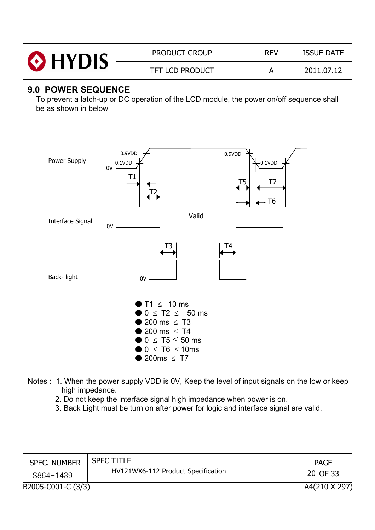| $\odot$ HYDIS                                     |                   | <b>PRODUCT GROUP</b>                                                                                                                                                                                                                                         | <b>REV</b>             | <b>ISSUE DATE</b> |
|---------------------------------------------------|-------------------|--------------------------------------------------------------------------------------------------------------------------------------------------------------------------------------------------------------------------------------------------------------|------------------------|-------------------|
|                                                   |                   | <b>TFT LCD PRODUCT</b>                                                                                                                                                                                                                                       | A                      | 2011.07.12        |
| <b>9.0 POWER SEQUENCE</b><br>be as shown in below |                   | To prevent a latch-up or DC operation of the LCD module, the power on/off sequence shall                                                                                                                                                                     |                        |                   |
| Power Supply                                      | 0V                | 0.9VDD<br>0.9VDD<br>0.1VDD<br>Τ1<br>T <sub>5</sub>                                                                                                                                                                                                           | $-0.1$ VDD<br>T7<br>T6 |                   |
| Interface Signal                                  | 0V                | Valid<br>T3<br>Τ4                                                                                                                                                                                                                                            |                        |                   |
| Back-light                                        |                   | 0V                                                                                                                                                                                                                                                           |                        |                   |
|                                                   |                   | $\leq 10$ ms<br>$\leq$ T2 $\leq$ 50 ms<br>200 ms $\leq$ T3<br>■ 200 ms $\leq$ T4<br>$0 \leq T5 \leq 50$ ms<br>$0 \leq T6 \leq 10$ ms<br>$200ms \leq T7$                                                                                                      |                        |                   |
|                                                   | high impedance.   | Notes: 1. When the power supply VDD is 0V, Keep the level of input signals on the low or keep<br>2. Do not keep the interface signal high impedance when power is on.<br>3. Back Light must be turn on after power for logic and interface signal are valid. |                        |                   |
| <b>SPEC. NUMBER</b>                               | <b>SPEC TITLE</b> |                                                                                                                                                                                                                                                              |                        | <b>PAGE</b>       |
| S864-1439                                         |                   | HV121WX6-112 Product Specification                                                                                                                                                                                                                           |                        | 20 OF 33          |
| B2005-C001-C (3/3)                                |                   |                                                                                                                                                                                                                                                              |                        | A4(210 X 297)     |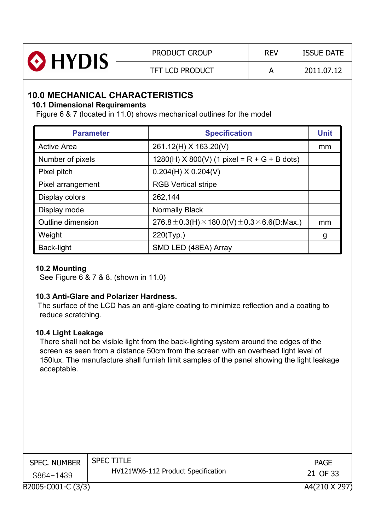| O HYDIS | <b>PRODUCT GROUP</b>   | <b>REV</b> | <b>ISSUE DATE</b> |
|---------|------------------------|------------|-------------------|
|         | <b>TFT LCD PRODUCT</b> |            | 2011.07.12        |

# **10.0 MECHANICAL CHARACTERISTICS**

#### **10.1 Dimensional Requirements**

Figure 6 & 7 (located in 11.0) shows mechanical outlines for the model

| <b>Parameter</b>   | <b>Specification</b>                                                 | <b>Unit</b> |
|--------------------|----------------------------------------------------------------------|-------------|
| <b>Active Area</b> | 261.12(H) X 163.20(V)                                                | mm          |
| Number of pixels   | $1280(H)$ X 800(V) (1 pixel = R + G + B dots)                        |             |
| Pixel pitch        | $0.204(H)$ X 0.204(V)                                                |             |
| Pixel arrangement  | <b>RGB Vertical stripe</b>                                           |             |
| Display colors     | 262,144                                                              |             |
| Display mode       | <b>Normally Black</b>                                                |             |
| Outline dimension  | $276.8 \pm 0.3$ (H) $\times$ 180.0(V) $\pm$ 0.3 $\times$ 6.6(D:Max.) | mm          |
| Weight             | $220$ (Typ.)                                                         | g           |
| Back-light         | SMD LED (48EA) Array                                                 |             |

#### **10.2 Mounting**

See Figure 6 & 7 & 8. (shown in 11.0)

#### **10.3 Anti-Glare and Polarizer Hardness.**

The surface of the LCD has an anti-glare coating to minimize reflection and a coating to reduce scratching.

#### **10.4 Light Leakage**

There shall not be visible light from the back-lighting system around the edges of the screen as seen from a distance 50cm from the screen with an overhead light level of 150lux. The manufacture shall furnish limit samples of the panel showing the light leakage acceptable.

| <b>SPEC. NUMBER</b> | <b>SPEC TITLE</b>                  | <b>PAGE</b>   |
|---------------------|------------------------------------|---------------|
| S864-1439           | HV121WX6-112 Product Specification | 21 OF 33      |
| B2005-C001-C (3/3)  |                                    | A4(210 X 297) |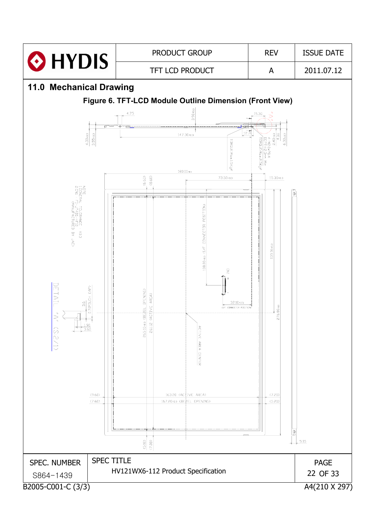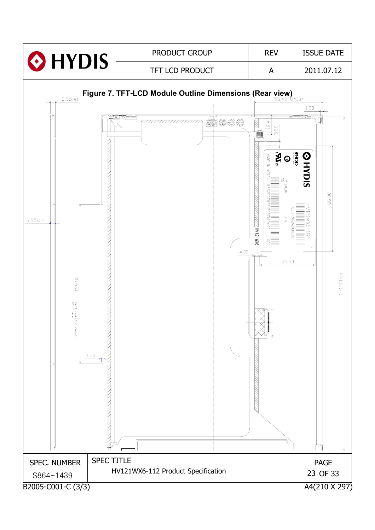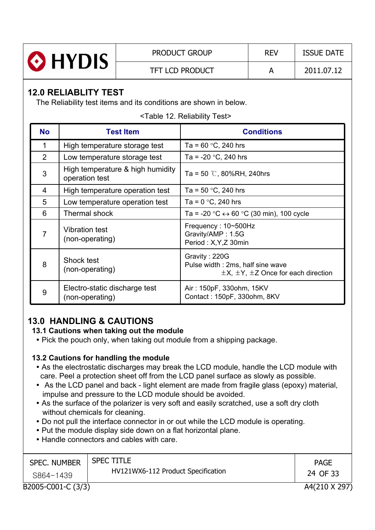

# **12.0 RELIABLITY TEST**

The Reliability test items and its conditions are shown in below.

<Table 12. Reliability Test>

| <b>No</b>      | <b>Test Item</b>                                   | <b>Conditions</b>                                                                                      |
|----------------|----------------------------------------------------|--------------------------------------------------------------------------------------------------------|
| 1              | High temperature storage test                      | Ta = $60 °C$ , 240 hrs                                                                                 |
| $\overline{2}$ | Low temperature storage test                       | Ta = $-20$ °C, 240 hrs                                                                                 |
| 3              | High temperature & high humidity<br>operation test | Ta = 50 $\degree$ C, 80%RH, 240hrs                                                                     |
| 4              | High temperature operation test                    | Ta = $50 °C$ , 240 hrs                                                                                 |
| 5              | Low temperature operation test                     | Ta = $0 °C$ , 240 hrs                                                                                  |
| 6              | <b>Thermal shock</b>                               | Ta = -20 $\degree$ C $\leftrightarrow$ 60 $\degree$ C (30 min), 100 cycle                              |
| $\overline{7}$ | <b>Vibration test</b><br>(non-operating)           | Frequency: 10~500Hz<br>Gravity/AMP: 1.5G<br>Period: X, Y, Z 30min                                      |
| 8              | Shock test<br>(non-operating)                      | Gravity: 220G<br>Pulse width: 2ms, half sine wave<br>$\pm$ X, $\pm$ Y, $\pm$ Z Once for each direction |
| 9              | Electro-static discharge test<br>(non-operating)   | Air: 150pF, 330ohm, 15KV<br>Contact: 150pF, 330ohm, 8KV                                                |

# **13.0 HANDLING & CAUTIONS**

#### **13.1 Cautions when taking out the module**

• Pick the pouch only, when taking out module from a shipping package.

#### **13.2 Cautions for handling the module**

- As the electrostatic discharges may break the LCD module, handle the LCD module with care. Peel a protection sheet off from the LCD panel surface as slowly as possible.
- As the LCD panel and back light element are made from fragile glass (epoxy) material, impulse and pressure to the LCD module should be avoided.
- As the surface of the polarizer is very soft and easily scratched, use a soft dry cloth without chemicals for cleaning.
- Do not pull the interface connector in or out while the LCD module is operating.
- Put the module display side down on a flat horizontal plane.
- Handle connectors and cables with care.

| <b>SPEC. NUMBER</b> | <b>SPEC TITLE</b>                  | <b>PAGE</b>   |
|---------------------|------------------------------------|---------------|
| S864-1439           | HV121WX6-112 Product Specification | 24 OF 33      |
| B2005-C001-C (3/3)  |                                    | A4(210 X 297) |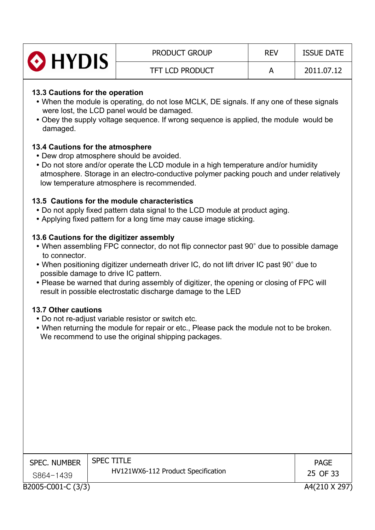| HYDIS | <b>PRODUCT GROUP</b>   | <b>REV</b> | <b>ISSUE DATE</b> |
|-------|------------------------|------------|-------------------|
|       | <b>TFT LCD PRODUCT</b> |            | 2011.07.12        |

#### **13.3 Cautions for the operation**

- When the module is operating, do not lose MCLK, DE signals. If any one of these signals were lost, the LCD panel would be damaged.
- Obey the supply voltage sequence. If wrong sequence is applied, the module would be damaged.

#### **13.4 Cautions for the atmosphere**

- Dew drop atmosphere should be avoided.
- Do not store and/or operate the LCD module in a high temperature and/or humidity atmosphere. Storage in an electro-conductive polymer packing pouch and under relatively low temperature atmosphere is recommended.

#### **13.5 Cautions for the module characteristics**

- Do not apply fixed pattern data signal to the LCD module at product aging.
- Applying fixed pattern for a long time may cause image sticking.

#### **13.6 Cautions for the digitizer assembly**

- When assembling FPC connector, do not flip connector past 90° due to possible damage to connector.
- When positioning digitizer underneath driver IC, do not lift driver IC past 90° due to possible damage to drive IC pattern.
- Please be warned that during assembly of digitizer, the opening or closing of FPC will result in possible electrostatic discharge damage to the LED

#### **13.7 Other cautions**

- Do not re-adjust variable resistor or switch etc.
- When returning the module for repair or etc., Please pack the module not to be broken. We recommend to use the original shipping packages.

| <b>SPEC. NUMBER</b> | <b>SPEC TITLE</b>                  | <b>PAGE</b>   |
|---------------------|------------------------------------|---------------|
| S864-1439           | HV121WX6-112 Product Specification | 25 OF 33      |
| B2005-C001-C (3/3)  |                                    | A4(210 X 297) |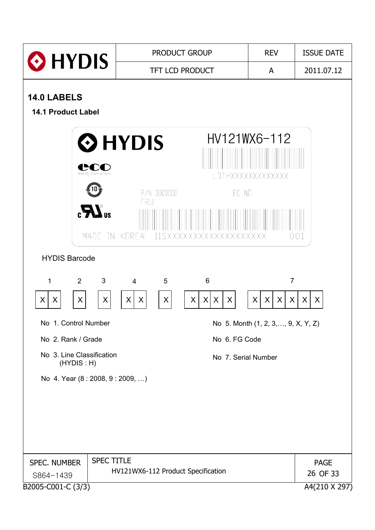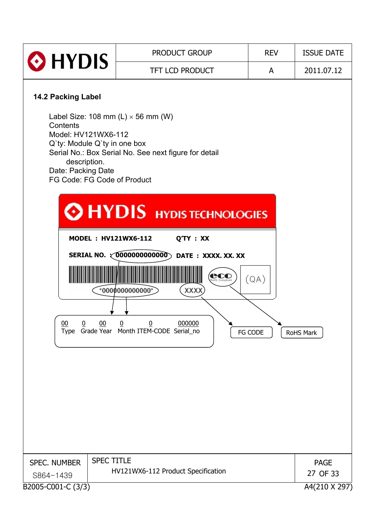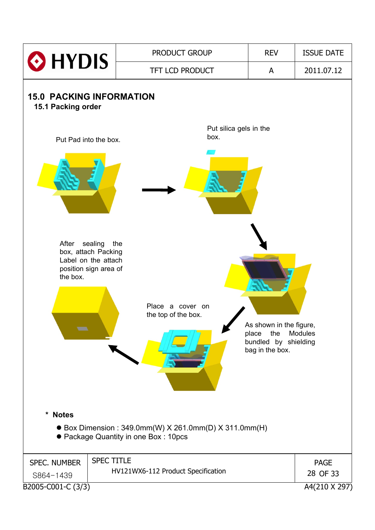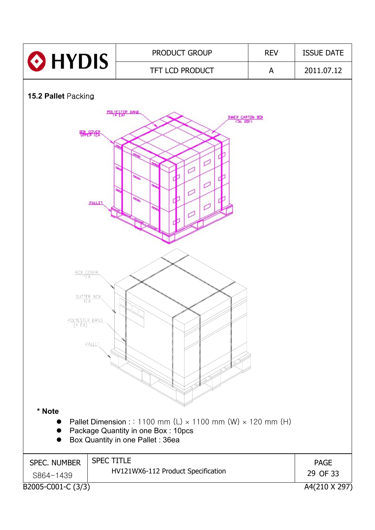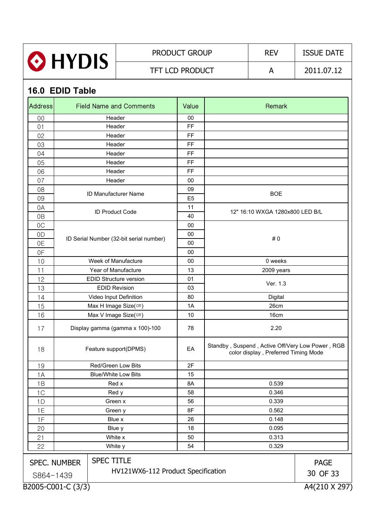| <b>O</b> HYDIS | <b>PRODUCT GROUP</b>   | <b>REV</b> | <b>ISSUE DATE</b> |
|----------------|------------------------|------------|-------------------|
|                | <b>TFT LCD PRODUCT</b> |            | 2011.07.12        |

# **16.0 EDID Table**

| <b>Address</b>               |                     | <b>Field Name and Comments</b>                          | Value          | Remark                                                                                   |                         |  |  |
|------------------------------|---------------------|---------------------------------------------------------|----------------|------------------------------------------------------------------------------------------|-------------------------|--|--|
| 00                           | Header              |                                                         |                |                                                                                          |                         |  |  |
| 01                           | Header              |                                                         |                |                                                                                          |                         |  |  |
| 02                           |                     | Header                                                  | FF             |                                                                                          |                         |  |  |
| 03                           |                     | Header                                                  | FF             |                                                                                          |                         |  |  |
| 04                           |                     | Header                                                  | FF             |                                                                                          |                         |  |  |
| 05                           |                     | Header                                                  | <b>FF</b>      |                                                                                          |                         |  |  |
| 06                           |                     | Header                                                  | FF             |                                                                                          |                         |  |  |
| 07                           |                     | Header                                                  | 00             |                                                                                          |                         |  |  |
| 08                           |                     | ID Manufacturer Name                                    | 09             | <b>BOE</b>                                                                               |                         |  |  |
| 09                           |                     |                                                         | E <sub>5</sub> |                                                                                          |                         |  |  |
| 0A                           |                     | <b>ID Product Code</b>                                  | 11             | 12" 16:10 WXGA 1280x800 LED B/L                                                          |                         |  |  |
| 0 <sub>B</sub>               |                     |                                                         | 40             |                                                                                          |                         |  |  |
| OC                           |                     |                                                         | 00             |                                                                                          |                         |  |  |
| 0D                           |                     |                                                         | 00             |                                                                                          |                         |  |  |
| 0E                           |                     | ID Serial Number (32-bit serial number)                 | 00             | #0                                                                                       |                         |  |  |
| 0F                           |                     |                                                         | 00             |                                                                                          |                         |  |  |
| 10                           |                     | Week of Manufacture                                     | 00             | 0 weeks                                                                                  |                         |  |  |
| 11                           |                     | Year of Manufacture                                     | 13             | 2009 years                                                                               |                         |  |  |
| 12                           |                     | <b>EDID Structure version</b>                           |                |                                                                                          |                         |  |  |
| 13                           |                     | <b>EDID Revision</b>                                    | 03             | Ver. 1.3                                                                                 |                         |  |  |
| 14                           |                     | Video Input Definition                                  | 80             | Digital                                                                                  |                         |  |  |
| 15                           |                     | Max H Image Size(cm)                                    | 1A             | 26cm                                                                                     |                         |  |  |
| 16                           |                     | Max V Image Size(cm)                                    | 10             | 16cm                                                                                     |                         |  |  |
| 17                           |                     | Display gamma (gamma x 100)-100                         | 78             | 2.20                                                                                     |                         |  |  |
| 18                           |                     | Feature support(DPMS)                                   | EA             | Standby, Suspend, Active Off/Very Low Power, RGB<br>color display, Preferred Timing Mode |                         |  |  |
| 19                           |                     | Red/Green Low Bits                                      | 2F             |                                                                                          |                         |  |  |
| 1A                           |                     | <b>Blue/White Low Bits</b>                              | 15             |                                                                                          |                         |  |  |
| 1B                           |                     | Red x                                                   | 8A             | 0.539                                                                                    |                         |  |  |
| 1C                           |                     | Red y                                                   | 58             | 0.346                                                                                    |                         |  |  |
| 1D                           |                     | Green x                                                 | 56             | 0.339                                                                                    |                         |  |  |
| 1E                           |                     | Green y                                                 | 8F             | 0.562                                                                                    |                         |  |  |
| 1F                           |                     | Blue x                                                  | 26             | 0.148                                                                                    |                         |  |  |
| 20                           |                     | Blue y                                                  | 18             | 0.095                                                                                    |                         |  |  |
| 21                           | White x             |                                                         | 50             | 0.313                                                                                    |                         |  |  |
| 22<br>White y<br>0.329<br>54 |                     |                                                         |                |                                                                                          |                         |  |  |
| S864-1439                    | <b>SPEC. NUMBER</b> | <b>SPEC TITLE</b><br>HV121WX6-112 Product Specification |                |                                                                                          | <b>PAGE</b><br>30 OF 33 |  |  |
|                              | B2005-C001-C (3/3)  |                                                         |                |                                                                                          | A4(210 X 297)           |  |  |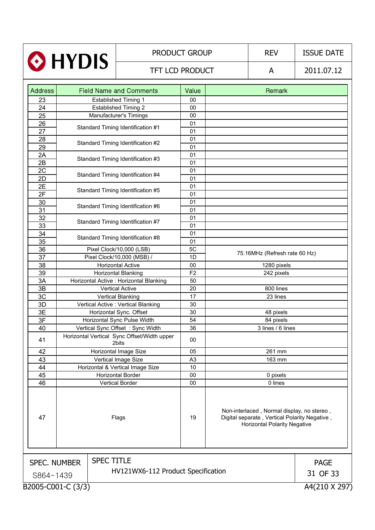| HYDIS                                           |                                | <b>PRODUCT GROUP</b>                                 |                | <b>REV</b>                                                                                                                         | <b>ISSUE DATE</b>             |               |
|-------------------------------------------------|--------------------------------|------------------------------------------------------|----------------|------------------------------------------------------------------------------------------------------------------------------------|-------------------------------|---------------|
|                                                 |                                | TFT LCD PRODUCT                                      |                |                                                                                                                                    | A                             | 2011.07.12    |
| <b>Address</b>                                  | <b>Field Name and Comments</b> |                                                      | Value          |                                                                                                                                    | Remark                        |               |
| 23                                              |                                | <b>Established Timing 1</b>                          | 00             |                                                                                                                                    |                               |               |
| 24                                              |                                | <b>Established Timing 2</b>                          | 00             |                                                                                                                                    |                               |               |
| 25                                              |                                | Manufacturer's Timings                               | 00             |                                                                                                                                    |                               |               |
| 26                                              |                                |                                                      | 01             |                                                                                                                                    |                               |               |
| 27                                              |                                | Standard Timing Identification #1                    | 01             |                                                                                                                                    |                               |               |
| 28                                              |                                |                                                      | 01             |                                                                                                                                    |                               |               |
| 29                                              |                                | Standard Timing Identification #2                    | 01             |                                                                                                                                    |                               |               |
| 2A                                              |                                |                                                      | 01             |                                                                                                                                    |                               |               |
| 2B                                              |                                | Standard Timing Identification #3                    | 01             |                                                                                                                                    |                               |               |
| 2C                                              |                                |                                                      | 01             |                                                                                                                                    |                               |               |
| 2D                                              |                                | Standard Timing Identification #4                    | 01             |                                                                                                                                    |                               |               |
| 2E                                              |                                |                                                      | 01             |                                                                                                                                    |                               |               |
| 2F                                              |                                | Standard Timing Identification #5                    | 01             |                                                                                                                                    |                               |               |
| 30                                              |                                |                                                      | 01             |                                                                                                                                    |                               |               |
| $\overline{31}$                                 |                                | Standard Timing Identification #6                    | 01             |                                                                                                                                    |                               |               |
| 32                                              |                                |                                                      | 01             |                                                                                                                                    |                               |               |
| 33                                              |                                | Standard Timing Identification #7                    | 01             |                                                                                                                                    |                               |               |
| 34                                              |                                |                                                      | 01             |                                                                                                                                    |                               |               |
| 35                                              |                                | Standard Timing Identification #8                    | 01             |                                                                                                                                    |                               |               |
| 36                                              |                                | Pixel Clock/10,000 (LSB)                             | 5C             |                                                                                                                                    |                               |               |
| 37                                              |                                | Pixel Clock/10,000 (MSB) /                           | 1D             |                                                                                                                                    | 75.16MHz (Refresh rate 60 Hz) |               |
| 38                                              |                                | <b>Horizontal Active</b>                             | 00             | 1280 pixels                                                                                                                        |                               |               |
| 39                                              |                                | <b>Horizontal Blanking</b>                           | F <sub>2</sub> | 242 pixels                                                                                                                         |                               |               |
| 3A                                              |                                | Horizontal Active : Horizontal Blanking              | 50             |                                                                                                                                    |                               |               |
| 3B                                              |                                | <b>Vertical Active</b>                               | 20             |                                                                                                                                    | 800 lines                     |               |
| 3C                                              |                                | <b>Vertical Blanking</b>                             | 17             |                                                                                                                                    | 23 lines                      |               |
| 3D                                              |                                | Vertical Active : Vertical Blanking                  | 30             |                                                                                                                                    |                               |               |
| 3E                                              |                                | Horizontal Sync. Offset                              | 30             |                                                                                                                                    | 48 pixels                     |               |
| 3F                                              |                                | Horizontal Sync Pulse Width                          | 54             |                                                                                                                                    | 84 pixels                     |               |
| 40                                              |                                | Vertical Sync Offset: Sync Width                     | 36             |                                                                                                                                    | 3 lines / 6 lines             |               |
| 41                                              |                                | Horizontal Vertical Sync Offset/Width upper<br>2bits | 00             |                                                                                                                                    |                               |               |
| 42                                              |                                | Horizontal Image Size                                | 05             |                                                                                                                                    | 261 mm                        |               |
| 43                                              |                                | Vertical Image Size                                  | A <sub>3</sub> |                                                                                                                                    | 163 mm                        |               |
| 44                                              |                                | Horizontal & Vertical Image Size                     | 10             |                                                                                                                                    |                               |               |
| 45                                              |                                | Horizontal Border                                    | 00             | 0 pixels                                                                                                                           |                               |               |
| 46                                              | Vertical Border                |                                                      | 00             |                                                                                                                                    | 0 lines                       |               |
| 47                                              |                                | Flags                                                | 19             | Non-interlaced, Normal display, no stereo,<br>Digital separate, Vertical Polarity Negative,<br><b>Horizontal Polarity Negative</b> |                               |               |
| <b>SPEC TITLE</b><br><b>SPEC. NUMBER</b>        |                                |                                                      |                |                                                                                                                                    |                               |               |
|                                                 |                                |                                                      |                |                                                                                                                                    |                               | <b>PAGE</b>   |
| HV121WX6-112 Product Specification<br>S864-1439 |                                |                                                      |                |                                                                                                                                    | 31 OF 33                      |               |
|                                                 | B2005-C001-C (3/3)             |                                                      |                |                                                                                                                                    |                               | A4(210 X 297) |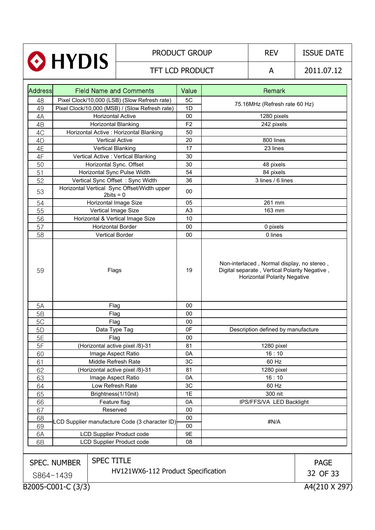|                                          |                                                |                                                            | <b>PRODUCT GROUP</b>               |  | <b>REV</b>                                                                                                                         | <b>ISSUE DATE</b> |
|------------------------------------------|------------------------------------------------|------------------------------------------------------------|------------------------------------|--|------------------------------------------------------------------------------------------------------------------------------------|-------------------|
|                                          | <b>O</b> HYDIS                                 | <b>TFT LCD PRODUCT</b>                                     |                                    |  | A                                                                                                                                  | 2011.07.12        |
| <b>Address</b>                           |                                                | <b>Field Name and Comments</b>                             |                                    |  | Remark                                                                                                                             |                   |
| 48                                       |                                                | Pixel Clock/10,000 (LSB) (Slow Refresh rate)               | 5C                                 |  |                                                                                                                                    |                   |
| 49                                       |                                                | Pixel Clock/10,000 (MSB) / (Slow Refresh rate)             | 1D                                 |  | 75.16MHz (Refresh rate 60 Hz)                                                                                                      |                   |
| 4A                                       |                                                | <b>Horizontal Active</b>                                   | 00                                 |  | 1280 pixels                                                                                                                        |                   |
| 4B                                       |                                                | Horizontal Blanking                                        | F <sub>2</sub>                     |  | 242 pixels                                                                                                                         |                   |
| 4C                                       |                                                | Horizontal Active : Horizontal Blanking                    | 50                                 |  |                                                                                                                                    |                   |
| 4D                                       | <b>Vertical Active</b>                         |                                                            | 20                                 |  | 800 lines                                                                                                                          |                   |
| 4E                                       |                                                | <b>Vertical Blanking</b><br>17<br>23 lines                 |                                    |  |                                                                                                                                    |                   |
| 4F                                       |                                                | Vertical Active : Vertical Blanking                        | 30                                 |  |                                                                                                                                    |                   |
| 50                                       |                                                | Horizontal Sync. Offset                                    | 30                                 |  | 48 pixels                                                                                                                          |                   |
| 51                                       |                                                | Horizontal Sync Pulse Width                                | 54                                 |  | 84 pixels                                                                                                                          |                   |
| 52                                       |                                                | Vertical Sync Offset: Sync Width                           | 36                                 |  | 3 lines / 6 lines                                                                                                                  |                   |
| 53                                       |                                                | Horizontal Vertical Sync Offset/Width upper<br>$2bits = 0$ | 00                                 |  |                                                                                                                                    |                   |
| 54                                       |                                                | Horizontal Image Size                                      |                                    |  | 261 mm                                                                                                                             |                   |
| 55                                       |                                                | Vertical Image Size                                        | A <sub>3</sub>                     |  | 163 mm                                                                                                                             |                   |
| 56                                       |                                                | Horizontal & Vertical Image Size                           | 10                                 |  |                                                                                                                                    |                   |
| 57                                       |                                                | <b>Horizontal Border</b>                                   | 00                                 |  | 0 pixels                                                                                                                           |                   |
| 58                                       |                                                | <b>Vertical Border</b>                                     | 00                                 |  | 0 lines                                                                                                                            |                   |
| 59                                       | Flags                                          |                                                            | 19                                 |  | Non-interlaced, Normal display, no stereo,<br>Digital separate, Vertical Polarity Negative,<br><b>Horizontal Polarity Negative</b> |                   |
| 5A                                       |                                                | Flag                                                       | 00                                 |  |                                                                                                                                    |                   |
| 5B                                       |                                                | Flag                                                       | 00                                 |  |                                                                                                                                    |                   |
| 5C                                       |                                                | Flag                                                       | 00                                 |  |                                                                                                                                    |                   |
| 5 <sub>D</sub>                           |                                                | Data Type Tag                                              | 0F                                 |  | Description defined by manufacture                                                                                                 |                   |
| 5E                                       |                                                | Flag                                                       | 00                                 |  |                                                                                                                                    |                   |
| 5F                                       |                                                | (Horizontal active pixel /8)-31                            | 81                                 |  | 1280 pixel                                                                                                                         |                   |
| 60                                       |                                                | Image Aspect Ratio                                         | 0A                                 |  | 16:10                                                                                                                              |                   |
| 61                                       |                                                | Middle Refresh Rate                                        | 3C                                 |  | 60 Hz                                                                                                                              |                   |
| 62                                       | (Horizontal active pixel /8)-31                |                                                            | 81                                 |  | 1280 pixel                                                                                                                         |                   |
| 63                                       | Image Aspect Ratio                             |                                                            | 0A                                 |  | 16:10                                                                                                                              |                   |
| 64                                       | Low Refresh Rate                               |                                                            | 3C                                 |  | 60 Hz                                                                                                                              |                   |
| 65                                       | Brightness(1/10nit)                            |                                                            | 1E                                 |  | 300 nit                                                                                                                            |                   |
| 66                                       | Feature flag                                   |                                                            | 0A                                 |  | IPS/FFS/VA LED Backlight                                                                                                           |                   |
| 67                                       | Reserved                                       |                                                            | 00                                 |  |                                                                                                                                    |                   |
| 68<br>69                                 | LCD Supplier manufacture Code (3 character ID) |                                                            | 00<br>00                           |  | #N/A                                                                                                                               |                   |
| 6A                                       | <b>LCD Supplier Product code</b>               |                                                            | 9E                                 |  |                                                                                                                                    |                   |
| 6B                                       |                                                | <b>LCD Supplier Product code</b>                           | 08                                 |  |                                                                                                                                    |                   |
|                                          |                                                |                                                            |                                    |  |                                                                                                                                    |                   |
| <b>SPEC TITLE</b><br><b>SPEC. NUMBER</b> |                                                |                                                            |                                    |  | <b>PAGE</b>                                                                                                                        |                   |
|                                          |                                                |                                                            | HV121WX6-112 Product Specification |  |                                                                                                                                    |                   |
| S864-1439                                |                                                |                                                            |                                    |  |                                                                                                                                    | 32 OF 33          |
|                                          | B2005-C001-C (3/3)                             |                                                            |                                    |  |                                                                                                                                    | A4(210 X 297)     |